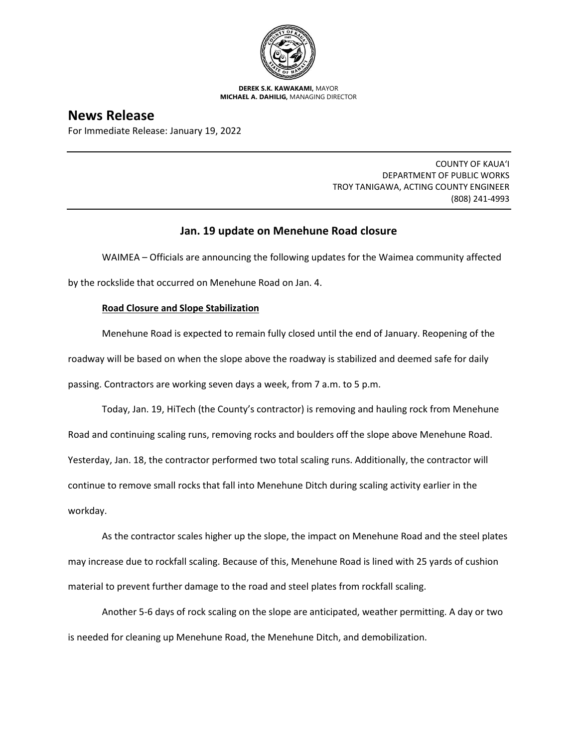

**DEREK S.K. KAWAKAMI,** MAYOR **MICHAEL A. DAHILIG,** MANAGING DIRECTOR

# **News Release**

For Immediate Release: January 19, 2022

COUNTY OF KAUA'I DEPARTMENT OF PUBLIC WORKS TROY TANIGAWA, ACTING COUNTY ENGINEER (808) 241-4993

## **Jan. 19 update on Menehune Road closure**

WAIMEA – Officials are announcing the following updates for the Waimea community affected by the rockslide that occurred on Menehune Road on Jan. 4.

## **Road Closure and Slope Stabilization**

Menehune Road is expected to remain fully closed until the end of January. Reopening of the roadway will be based on when the slope above the roadway is stabilized and deemed safe for daily passing. Contractors are working seven days a week, from 7 a.m. to 5 p.m.

Today, Jan. 19, HiTech (the County's contractor) is removing and hauling rock from Menehune Road and continuing scaling runs, removing rocks and boulders off the slope above Menehune Road. Yesterday, Jan. 18, the contractor performed two total scaling runs. Additionally, the contractor will continue to remove small rocks that fall into Menehune Ditch during scaling activity earlier in the workday.

As the contractor scales higher up the slope, the impact on Menehune Road and the steel plates may increase due to rockfall scaling. Because of this, Menehune Road is lined with 25 yards of cushion material to prevent further damage to the road and steel plates from rockfall scaling.

Another 5-6 days of rock scaling on the slope are anticipated, weather permitting. A day or two is needed for cleaning up Menehune Road, the Menehune Ditch, and demobilization.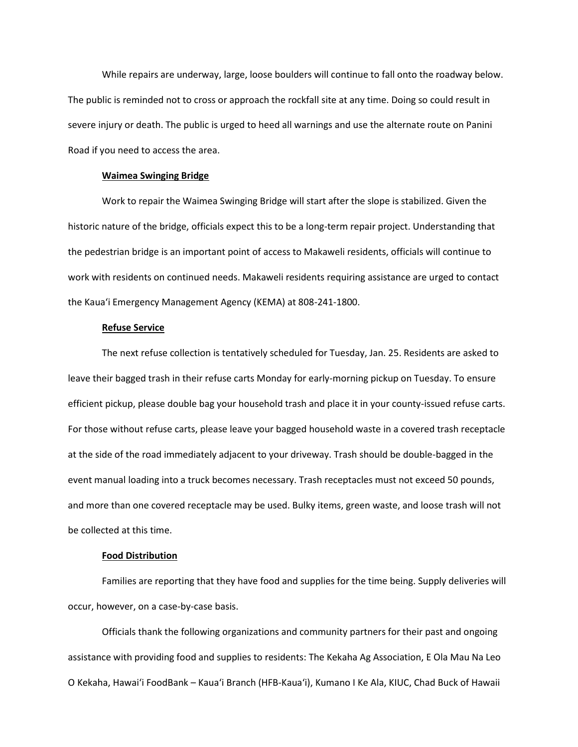While repairs are underway, large, loose boulders will continue to fall onto the roadway below. The public is reminded not to cross or approach the rockfall site at any time. Doing so could result in severe injury or death. The public is urged to heed all warnings and use the alternate route on Panini Road if you need to access the area.

#### **Waimea Swinging Bridge**

Work to repair the Waimea Swinging Bridge will start after the slope is stabilized. Given the historic nature of the bridge, officials expect this to be a long-term repair project. Understanding that the pedestrian bridge is an important point of access to Makaweli residents, officials will continue to work with residents on continued needs. Makaweli residents requiring assistance are urged to contact the Kaua'i Emergency Management Agency (KEMA) at 808-241-1800.

## **Refuse Service**

The next refuse collection is tentatively scheduled for Tuesday, Jan. 25. Residents are asked to leave their bagged trash in their refuse carts Monday for early-morning pickup on Tuesday. To ensure efficient pickup, please double bag your household trash and place it in your county-issued refuse carts. For those without refuse carts, please leave your bagged household waste in a covered trash receptacle at the side of the road immediately adjacent to your driveway. Trash should be double-bagged in the event manual loading into a truck becomes necessary. Trash receptacles must not exceed 50 pounds, and more than one covered receptacle may be used. Bulky items, green waste, and loose trash will not be collected at this time.

### **Food Distribution**

Families are reporting that they have food and supplies for the time being. Supply deliveries will occur, however, on a case-by-case basis.

Officials thank the following organizations and community partners for their past and ongoing assistance with providing food and supplies to residents: The Kekaha Ag Association, E Ola Mau Na Leo O Kekaha, Hawai'i FoodBank – Kaua'i Branch (HFB-Kaua'i), Kumano I Ke Ala, KIUC, Chad Buck of Hawaii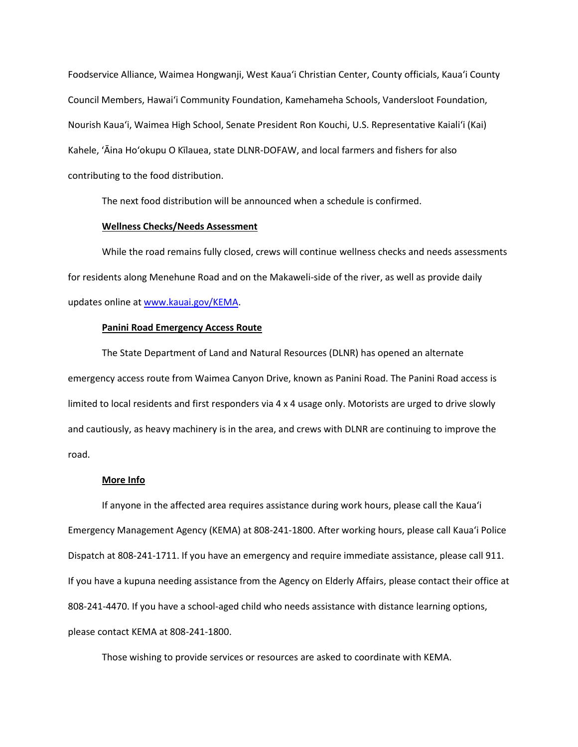Foodservice Alliance, Waimea Hongwanji, West Kaua'i Christian Center, County officials, Kaua'i County Council Members, Hawai'i Community Foundation, Kamehameha Schools, Vandersloot Foundation, Nourish Kaua'i, Waimea High School, Senate President Ron Kouchi, U.S. Representative Kaialiʻi (Kai) Kahele, 'Āina Ho'okupu O Kīlauea, state DLNR-DOFAW, and local farmers and fishers for also contributing to the food distribution.

The next food distribution will be announced when a schedule is confirmed.

#### **Wellness Checks/Needs Assessment**

While the road remains fully closed, crews will continue wellness checks and needs assessments for residents along Menehune Road and on the Makaweli-side of the river, as well as provide daily updates online at [www.kauai.gov/KEMA.](http://www.kauai.gov/KEMA)

### **Panini Road Emergency Access Route**

The State Department of Land and Natural Resources (DLNR) has opened an alternate emergency access route from Waimea Canyon Drive, known as Panini Road. The Panini Road access is limited to local residents and first responders via 4 x 4 usage only. Motorists are urged to drive slowly and cautiously, as heavy machinery is in the area, and crews with DLNR are continuing to improve the road.

#### **More Info**

If anyone in the affected area requires assistance during work hours, please call the Kaua'i Emergency Management Agency (KEMA) at 808-241-1800. After working hours, please call Kaua'i Police Dispatch at 808-241-1711. If you have an emergency and require immediate assistance, please call 911. If you have a kupuna needing assistance from the Agency on Elderly Affairs, please contact their office at 808-241-4470. If you have a school-aged child who needs assistance with distance learning options, please contact KEMA at 808-241-1800.

Those wishing to provide services or resources are asked to coordinate with KEMA.